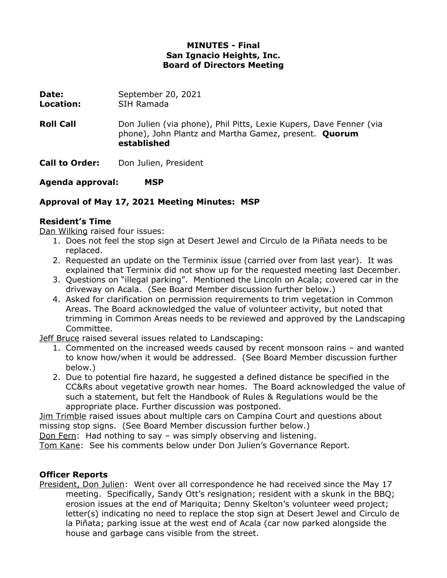#### **MINUTES - Final San Ignacio Heights, Inc. Board of Directors Meeting**

**Date:** September 20, 2021 **Location:** SIH Ramada

**Roll Call Don Julien (via phone), Phil Pitts, Lexie Kupers, Dave Fenner (via** phone), John Plantz and Martha Gamez, present. **Quorum established**

**Call to Order:** Don Julien, President

**Agenda approval: MSP**

# **Approval of May 17, 2021 Meeting Minutes: MSP**

### **Resident's Time**

Dan Wilking raised four issues:

- 1. Does not feel the stop sign at Desert Jewel and Circulo de la Piñata needs to be replaced.
- 2. Requested an update on the Terminix issue (carried over from last year). It was explained that Terminix did not show up for the requested meeting last December.
- 3. Questions on "illegal parking". Mentioned the Lincoln on Acala; covered car in the driveway on Acala. (See Board Member discussion further below.)
- 4. Asked for clarification on permission requirements to trim vegetation in Common Areas. The Board acknowledged the value of volunteer activity, but noted that trimming in Common Areas needs to be reviewed and approved by the Landscaping Committee.

Jeff Bruce raised several issues related to Landscaping:

- 1. Commented on the increased weeds caused by recent monsoon rains and wanted to know how/when it would be addressed. (See Board Member discussion further below.)
- 2. Due to potential fire hazard, he suggested a defined distance be specified in the CC&Rs about vegetative growth near homes. The Board acknowledged the value of such a statement, but felt the Handbook of Rules & Regulations would be the appropriate place. Further discussion was postponed.

Jim Trimble raised issues about multiple cars on Campina Court and questions about missing stop signs. (See Board Member discussion further below.)

Don Fern: Had nothing to say – was simply observing and listening.

Tom Kane: See his comments below under Don Julien's Governance Report.

### **Officer Reports**

President, Don Julien: Went over all correspondence he had received since the May 17 meeting. Specifically, Sandy Ott's resignation; resident with a skunk in the BBQ; erosion issues at the end of Mariquita; Denny Skelton's volunteer weed project; letter(s) indicating no need to replace the stop sign at Desert Jewel and Circulo de la Piñata; parking issue at the west end of Acala (car now parked alongside the house and garbage cans visible from the street.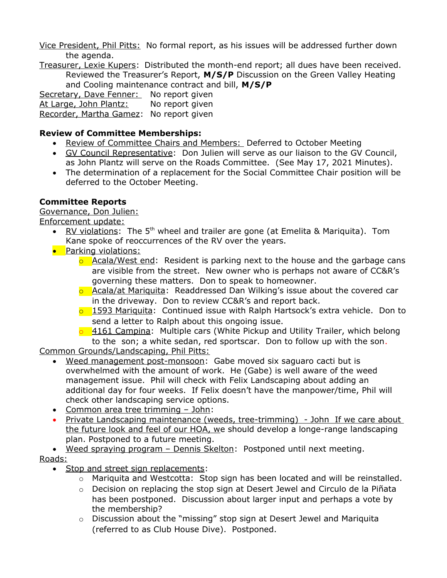Vice President, Phil Pitts: No formal report, as his issues will be addressed further down the agenda.

Treasurer, Lexie Kupers: Distributed the month-end report; all dues have been received. Reviewed the Treasurer's Report, **M/S/P** Discussion on the Green Valley Heating and Cooling maintenance contract and bill, **M/S/P**

Secretary, Dave Fenner: No report given At Large, John Plantz: No report given Recorder, Martha Gamez: No report given

### **Review of Committee Memberships:**

- Review of Committee Chairs and Members: Deferred to October Meeting
- GV Council Representative: Don Julien will serve as our liaison to the GV Council, as John Plantz will serve on the Roads Committee. (See May 17, 2021 Minutes).
- The determination of a replacement for the Social Committee Chair position will be deferred to the October Meeting.

# **Committee Reports**

Governance, Don Julien:

Enforcement update:

- RV violations: The 5<sup>th</sup> wheel and trailer are gone (at Emelita & Mariquita). Tom Kane spoke of reoccurrences of the RV over the years.
- **•** Parking violations:
	- $\circ$  Acala/West end: Resident is parking next to the house and the garbage cans are visible from the street. New owner who is perhaps not aware of CC&R's governing these matters. Don to speak to homeowner.
	- o Acala/at Mariquita: Readdressed Dan Wilking's issue about the covered car in the driveway. Don to review CC&R's and report back.
	- $\overline{\circ}$  1593 Mariquita: Continued issue with Ralph Hartsock's extra vehicle. Don to send a letter to Ralph about this ongoing issue.
	- $\overline{0}$  4161 Campina: Multiple cars (White Pickup and Utility Trailer, which belong to the son; a white sedan, red sportscar. Don to follow up with the son.

Common Grounds/Landscaping, Phil Pitts:

- Weed management post-monsoon: Gabe moved six saguaro cacti but is overwhelmed with the amount of work. He (Gabe) is well aware of the weed management issue. Phil will check with Felix Landscaping about adding an additional day for four weeks. If Felix doesn't have the manpower/time, Phil will check other landscaping service options.
- Common area tree trimming John:
- Private Landscaping maintenance (weeds, tree-trimming) John If we care about the future look and feel of our HOA, we should develop a longe-range landscaping plan. Postponed to a future meeting.
- Weed spraying program Dennis Skelton: Postponed until next meeting.

### Roads:

- Stop and street sign replacements:
	- $\circ$  Mariquita and Westcotta: Stop sign has been located and will be reinstalled.
	- $\circ$  Decision on replacing the stop sign at Desert Jewel and Circulo de la Piñata has been postponed. Discussion about larger input and perhaps a vote by the membership?
	- $\circ$  Discussion about the "missing" stop sign at Desert Jewel and Mariquita (referred to as Club House Dive). Postponed.